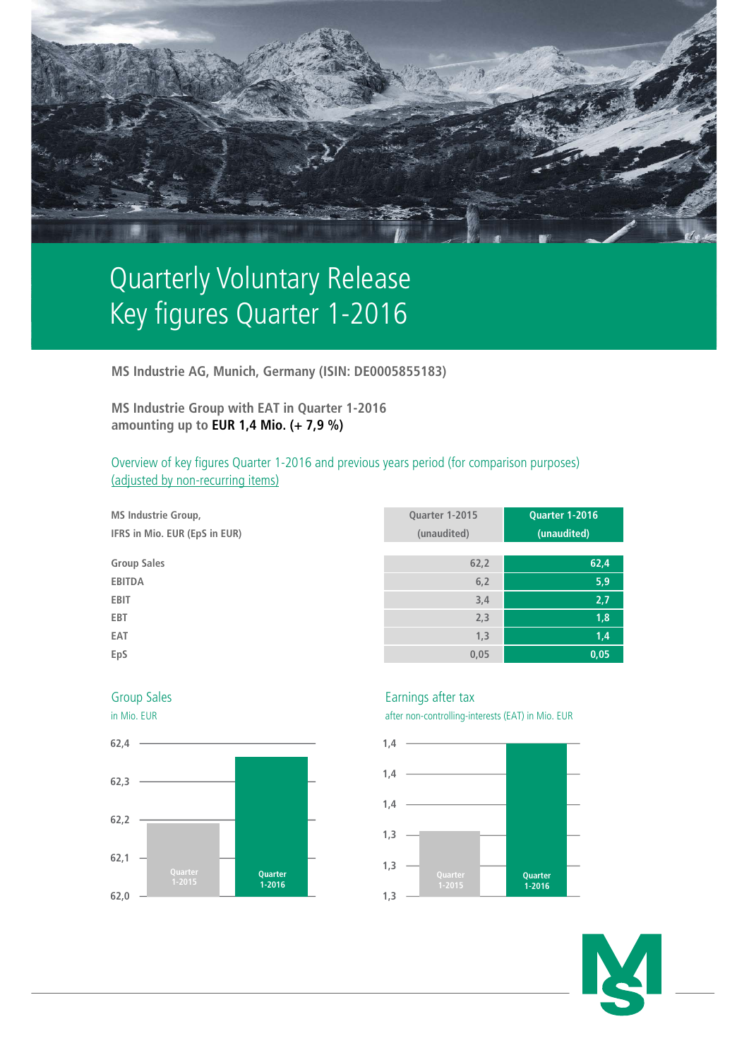

## Quarterly Voluntary Release Key figures Quarter 1-2016

**MS Industrie AG, Munich, Germany (ISIN: DE0005855183)**

**MS Industrie Group with EAT in Quarter 1-2016 amounting up to EUR 1,4 Mio. (+ 7,9 %)**

Overview of key figures Quarter 1-2016 and previous years period (for comparison purposes) (adjusted by non-recurring items)

| <b>MS Industrie Group,</b><br>IFRS in Mio. EUR (EpS in EUR) | Quarter 1-2015<br>(unaudited) | Quarter 1-2016<br>(unaudited) |
|-------------------------------------------------------------|-------------------------------|-------------------------------|
| <b>Group Sales</b>                                          | 62,2                          | 62,4                          |
| <b>EBITDA</b>                                               | 6, 2                          | 5,9                           |
| <b>EBIT</b>                                                 | 3,4                           | 2,7                           |
| EBT                                                         | 2,3                           | 1,8                           |
| EAT                                                         | 1,3                           | 1,4                           |
| EpS                                                         | 0,05                          | 0,05                          |



Group Sales **Earnings** after tax

in Mio. EUR after non-controlling-interests (EAT) in Mio. EUR



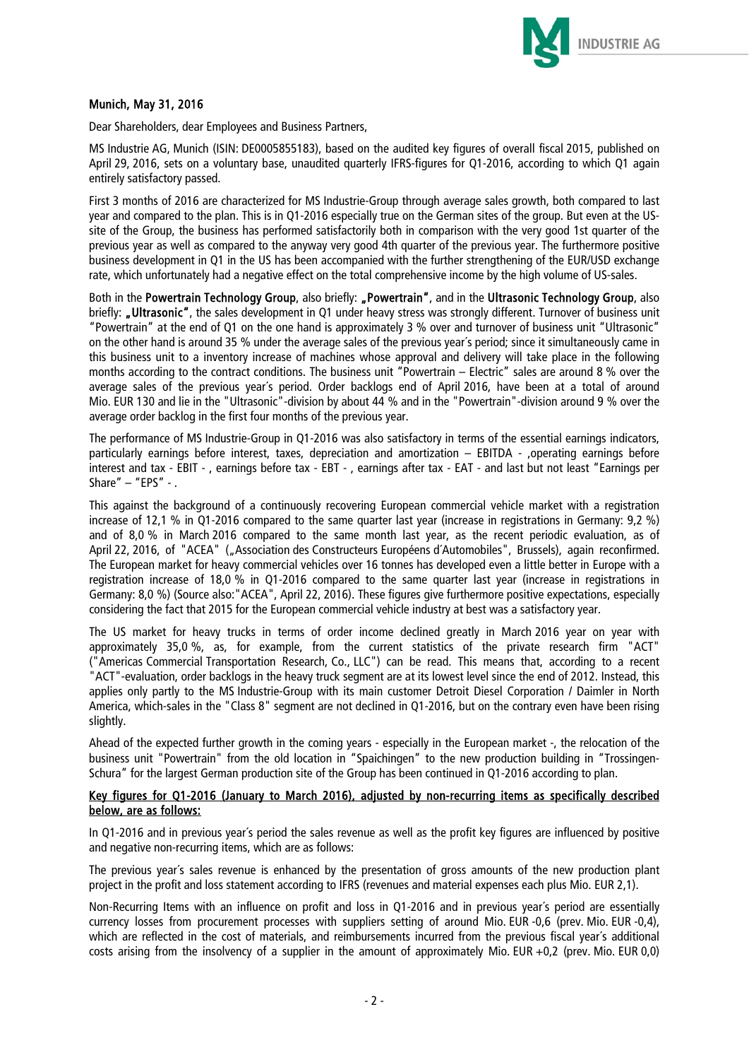

## Munich, May 31, 2016

Dear Shareholders, dear Employees and Business Partners,

MS Industrie AG, Munich (ISIN: DE0005855183), based on the audited key figures of overall fiscal 2015, published on April 29, 2016, sets on a voluntary base, unaudited quarterly IFRS-figures for Q1-2016, according to which Q1 again entirely satisfactory passed.

First 3 months of 2016 are characterized for MS Industrie-Group through average sales growth, both compared to last year and compared to the plan. This is in Q1-2016 especially true on the German sites of the group. But even at the USsite of the Group, the business has performed satisfactorily both in comparison with the very good 1st quarter of the previous year as well as compared to the anyway very good 4th quarter of the previous year. The furthermore positive business development in Q1 in the US has been accompanied with the further strengthening of the EUR/USD exchange rate, which unfortunately had a negative effect on the total comprehensive income by the high volume of US-sales.

Both in the Powertrain Technology Group, also briefly: "Powertrain", and in the Ultrasonic Technology Group, also briefly: "Ultrasonic", the sales development in Q1 under heavy stress was strongly different. Turnover of business unit "Powertrain" at the end of Q1 on the one hand is approximately 3 % over and turnover of business unit "Ultrasonic" on the other hand is around 35 % under the average sales of the previous year´s period; since it simultaneously came in this business unit to a inventory increase of machines whose approval and delivery will take place in the following months according to the contract conditions. The business unit "Powertrain – Electric" sales are around 8 % over the average sales of the previous year´s period. Order backlogs end of April 2016, have been at a total of around Mio. EUR 130 and lie in the "Ultrasonic"-division by about 44 % and in the "Powertrain"-division around 9 % over the average order backlog in the first four months of the previous year.

The performance of MS Industrie-Group in Q1-2016 was also satisfactory in terms of the essential earnings indicators, particularly earnings before interest, taxes, depreciation and amortization – EBITDA - ,operating earnings before interest and tax - EBIT - , earnings before tax - EBT - , earnings after tax - EAT - and last but not least "Earnings per Share" – "EPS" - .

This against the background of a continuously recovering European commercial vehicle market with a registration increase of 12,1 % in Q1-2016 compared to the same quarter last year (increase in registrations in Germany: 9,2 %) and of 8,0 % in March 2016 compared to the same month last year, as the recent periodic evaluation, as of April 22, 2016, of "ACEA" ("Association des Constructeurs Européens d'Automobiles", Brussels), again reconfirmed. The European market for heavy commercial vehicles over 16 tonnes has developed even a little better in Europe with a registration increase of 18,0 % in Q1-2016 compared to the same quarter last year (increase in registrations in Germany: 8,0 %) (Source also:"ACEA", April 22, 2016). These figures give furthermore positive expectations, especially considering the fact that 2015 for the European commercial vehicle industry at best was a satisfactory year.

The US market for heavy trucks in terms of order income declined greatly in March 2016 year on year with approximately 35,0 %, as, for example, from the current statistics of the private research firm "ACT" ("Americas Commercial Transportation Research, Co., LLC") can be read. This means that, according to a recent "ACT"-evaluation, order backlogs in the heavy truck segment are at its lowest level since the end of 2012. Instead, this applies only partly to the MS Industrie-Group with its main customer Detroit Diesel Corporation / Daimler in North America, which-sales in the "Class 8" segment are not declined in Q1-2016, but on the contrary even have been rising slightly.

Ahead of the expected further growth in the coming years - especially in the European market -, the relocation of the business unit "Powertrain" from the old location in "Spaichingen" to the new production building in "Trossingen-Schura" for the largest German production site of the Group has been continued in Q1-2016 according to plan.

## Key figures for Q1-2016 (January to March 2016), adjusted by non-recurring items as specifically described below, are as follows:

In Q1-2016 and in previous year´s period the sales revenue as well as the profit key figures are influenced by positive and negative non-recurring items, which are as follows:

The previous year´s sales revenue is enhanced by the presentation of gross amounts of the new production plant project in the profit and loss statement according to IFRS (revenues and material expenses each plus Mio. EUR 2,1).

Non-Recurring Items with an influence on profit and loss in Q1-2016 and in previous year´s period are essentially currency losses from procurement processes with suppliers setting of around Mio. EUR -0,6 (prev. Mio. EUR -0,4), which are reflected in the cost of materials, and reimbursements incurred from the previous fiscal year´s additional costs arising from the insolvency of a supplier in the amount of approximately Mio. EUR +0,2 (prev. Mio. EUR  $0,0$ )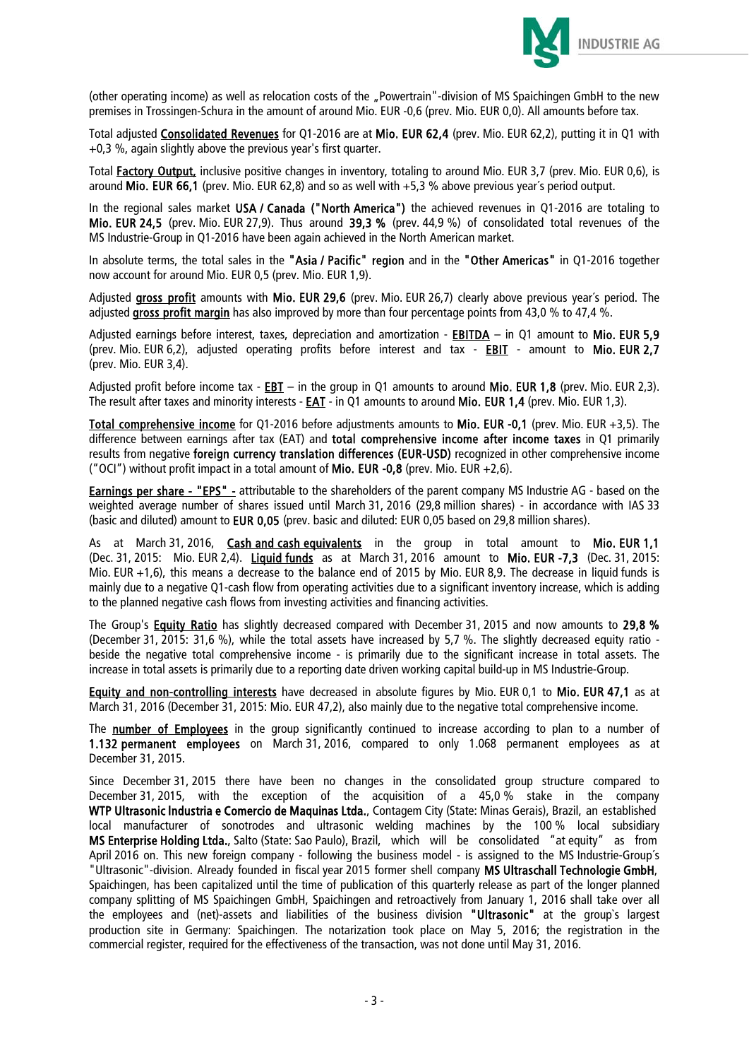

(other operating income) as well as relocation costs of the "Powertrain"-division of MS Spaichingen GmbH to the new premises in Trossingen-Schura in the amount of around Mio. EUR -0,6 (prev. Mio. EUR 0,0). All amounts before tax.

Total adjusted Consolidated Revenues for Q1-2016 are at Mio. EUR 62,4 (prev. Mio. EUR 62,2), putting it in Q1 with +0,3 %, again slightly above the previous year's first quarter.

Total **Factory Output,** inclusive positive changes in inventory, totaling to around Mio. EUR 3,7 (prev. Mio. EUR 0,6), is around Mio. EUR 66,1 (prev. Mio. EUR 62,8) and so as well with +5,3 % above previous year´s period output.

In the regional sales market USA / Canada ("North America") the achieved revenues in Q1-2016 are totaling to Mio. EUR 24,5 (prev. Mio. EUR 27,9). Thus around 39,3 % (prev. 44,9 %) of consolidated total revenues of the MS Industrie-Group in Q1-2016 have been again achieved in the North American market.

In absolute terms, the total sales in the "Asia / Pacific" region and in the "Other Americas" in Q1-2016 together now account for around Mio. EUR 0,5 (prev. Mio. EUR 1,9).

Adjusted gross profit amounts with Mio. EUR 29,6 (prev. Mio. EUR 26,7) clearly above previous year's period. The adjusted gross profit margin has also improved by more than four percentage points from 43,0 % to 47,4 %.

Adjusted earnings before interest, taxes, depreciation and amortization - **EBITDA** – in Q1 amount to Mio. EUR 5,9 (prev. Mio. EUR 6,2), adjusted operating profits before interest and tax - EBIT - amount to Mio. EUR 2,7 (prev. Mio. EUR 3,4).

Adjusted profit before income tax - EBT – in the group in Q1 amounts to around Mio. EUR 1,8 (prev. Mio. EUR 2,3). The result after taxes and minority interests - EAT - in Q1 amounts to around Mio. EUR 1,4 (prev. Mio. EUR 1,3).

Total comprehensive income for Q1-2016 before adjustments amounts to Mio. EUR -0,1 (prev. Mio. EUR +3,5). The difference between earnings after tax (EAT) and total comprehensive income after income taxes in Q1 primarily results from negative foreign currency translation differences (EUR-USD) recognized in other comprehensive income ("OCI") without profit impact in a total amount of **Mio. EUR -0.8** (prev. Mio. EUR +2,6).

Earnings per share - "EPS" - attributable to the shareholders of the parent company MS Industrie AG - based on the weighted average number of shares issued until March 31, 2016 (29,8 million shares) - in accordance with IAS 33 (basic and diluted) amount to EUR 0,05 (prev. basic and diluted: EUR 0,05 based on 29,8 million shares).

As at March 31, 2016, Cash and cash equivalents in the group in total amount to Mio. EUR 1,1 (Dec. 31, 2015: Mio. EUR 2,4). Liquid funds as at March 31, 2016 amount to Mio. EUR -7,3 (Dec. 31, 2015: Mio. EUR +1,6), this means a decrease to the balance end of 2015 by Mio. EUR 8,9. The decrease in liquid funds is mainly due to a negative Q1-cash flow from operating activities due to a significant inventory increase, which is adding to the planned negative cash flows from investing activities and financing activities.

The Group's **Equity Ratio** has slightly decreased compared with December 31, 2015 and now amounts to 29,8 % (December 31, 2015: 31,6 %), while the total assets have increased by 5,7 %. The slightly decreased equity ratio beside the negative total comprehensive income - is primarily due to the significant increase in total assets. The increase in total assets is primarily due to a reporting date driven working capital build-up in MS Industrie-Group.

Equity and non-controlling interests have decreased in absolute figures by Mio. EUR 0,1 to Mio. EUR 47,1 as at March 31, 2016 (December 31, 2015: Mio. EUR 47,2), also mainly due to the negative total comprehensive income.

The **number of Employees** in the group significantly continued to increase according to plan to a number of 1.132 permanent employees on March 31, 2016, compared to only 1.068 permanent employees as at December 31, 2015.

Since December 31, 2015 there have been no changes in the consolidated group structure compared to December 31, 2015, with the exception of the acquisition of a 45,0 % stake in the company WTP Ultrasonic lndustria e Comercio de Maquinas Ltda., Contagem City (State: Minas Gerais), Brazil, an established local manufacturer of sonotrodes and ultrasonic welding machines by the 100 % local subsidiary MS Enterprise Holding Ltda., Salto (State: Sao Paulo), Brazil, which will be consolidated "at equity" as from April 2016 on. This new foreign company - following the business model - is assigned to the MS Industrie-Group´s "Ultrasonic"-division. Already founded in fiscal year 2015 former shell company MS Ultraschall Technologie GmbH, Spaichingen, has been capitalized until the time of publication of this quarterly release as part of the longer planned company splitting of MS Spaichingen GmbH, Spaichingen and retroactively from January 1, 2016 shall take over all the employees and (net)-assets and liabilities of the business division "Ultrasonic" at the group`s largest production site in Germany: Spaichingen. The notarization took place on May 5, 2016; the registration in the commercial register, required for the effectiveness of the transaction, was not done until May 31, 2016.